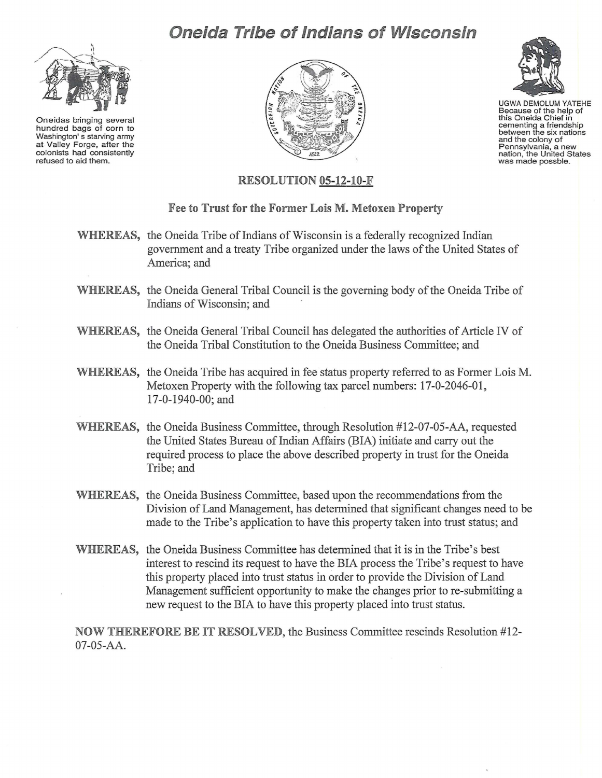## **Oneida Tribe of Indians of Wisconsin**



Oneidas bringing severa hu ndred bags of corn to Washington's starving army at Valley Forge, after the colonists had consistently refused to aid them.





UGWA DEMOLUM YATEHE Because of the help of<br>this Oneida Chief in cementing a friendship between the six nations<br>and the colony of Pennsylvania, a new nation, the United States was made possble.

## RESOLUTION 05-12-10-F

## Fee to Trust for the Former Lois M. Metoxen Property

- WHEREAS, the Oneida Tribe of Indians of Wisconsin is a federally recognized Indian government and a treaty Tribe organized under the laws ofthe United States of America; and
- WHEREAS, the Oneida General Tribal Council is the governing body of the Oneida Tribe of Indians of Wisconsin; and
- WHEREAS, the Oneida General Tribal Council has delegated the authorities of Article IV of the Oneida Tribal Constitution to the Oneida Business Committee; and
- WHEREAS, the Oneida Tribe has acquired in fee status property referred to as Former Lois M. Metoxen Property with the following tax parcel numbers: 17-0-2046-01, 17-0-1940-00; and
- WHEREAS, the Oneida Business Committee, through Resolution #12-07-05-AA, requested the United States Bureau of Indian Affairs (BIA) initiate and carry out the required process to place the above described property in trust for the Oneida Tribe; and
- WHEREAS, the Oneida Business Committee, based upon the recommendations from the Division of Land Management, has determined that significant changes need to be made to the Tribe's application to have this property taken into trust status; and
- WHEREAS, the Oneida Business Committee has determined that it is in the Tribe's best interest to rescind its request to have the BIA process the Tribe's request to have this property placed into trust status in order to provide the Division of Land Management sufficient opportunity to make the changes prior to re-submitting a new request to the BIA to have this property placed into trust status.

NOW THEREFORE BE IT RESOLVED, the Business Committee rescinds Resolution #12- 07-05-AA.